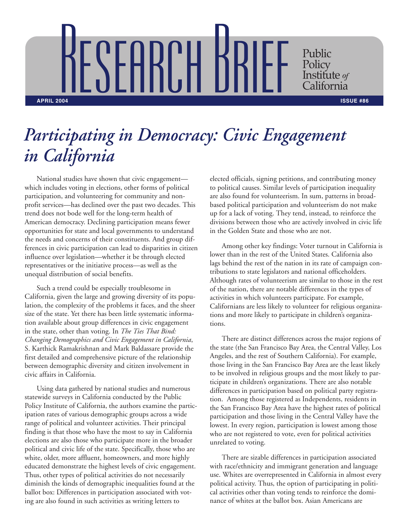

## *Participating in Democracy: Civic Engagement in California*

National studies have shown that civic engagement which includes voting in elections, other forms of political participation, and volunteering for community and nonprofit services—has declined over the past two decades. This trend does not bode well for the long-term health of American democracy. Declining participation means fewer opportunities for state and local governments to understand the needs and concerns of their constituents. And group differences in civic participation can lead to disparities in citizen influence over legislation—whether it be through elected representatives or the initiative process—as well as the unequal distribution of social benefits.

Such a trend could be especially troublesome in California, given the large and growing diversity of its population, the complexity of the problems it faces, and the sheer size of the state. Yet there has been little systematic information available about group differences in civic engagement in the state, other than voting. In *The Ties That Bind: Changing Demographics and Civic Engagement in California*, S. Karthick Ramakrishnan and Mark Baldassare provide the first detailed and comprehensive picture of the relationship between demographic diversity and citizen involvement in civic affairs in California.

Using data gathered by national studies and numerous statewide surveys in California conducted by the Public Policy Institute of California, the authors examine the participation rates of various demographic groups across a wide range of political and volunteer activities. Their principal finding is that those who have the most to say in California elections are also those who participate more in the broader political and civic life of the state. Specifically, those who are white, older, more affluent, homeowners, and more highly educated demonstrate the highest levels of civic engagement. Thus, other types of political activities do not necessarily diminish the kinds of demographic inequalities found at the ballot box: Differences in participation associated with voting are also found in such activities as writing letters to

elected officials, signing petitions, and contributing money to political causes. Similar levels of participation inequality are also found for volunteerism. In sum, patterns in broadbased political participation and volunteerism do not make up for a lack of voting. They tend, instead, to reinforce the divisions between those who are actively involved in civic life in the Golden State and those who are not.

Among other key findings: Voter turnout in California is lower than in the rest of the United States. California also lags behind the rest of the nation in its rate of campaign contributions to state legislators and national officeholders. Although rates of volunteerism are similar to those in the rest of the nation, there are notable differences in the types of activities in which volunteers participate. For example, Californians are less likely to volunteer for religious organizations and more likely to participate in children's organizations.

There are distinct differences across the major regions of the state (the San Francisco Bay Area, the Central Valley, Los Angeles, and the rest of Southern California). For example, those living in the San Francisco Bay Area are the least likely to be involved in religious groups and the most likely to participate in children's organizations. There are also notable differences in participation based on political party registration. Among those registered as Independents, residents in the San Francisco Bay Area have the highest rates of political participation and those living in the Central Valley have the lowest. In every region, participation is lowest among those who are not registered to vote, even for political activities unrelated to voting.

There are sizable differences in participation associated with race/ethnicity and immigrant generation and language use. Whites are overrepresented in California in almost every political activity. Thus, the option of participating in political activities other than voting tends to reinforce the dominance of whites at the ballot box. Asian Americans are